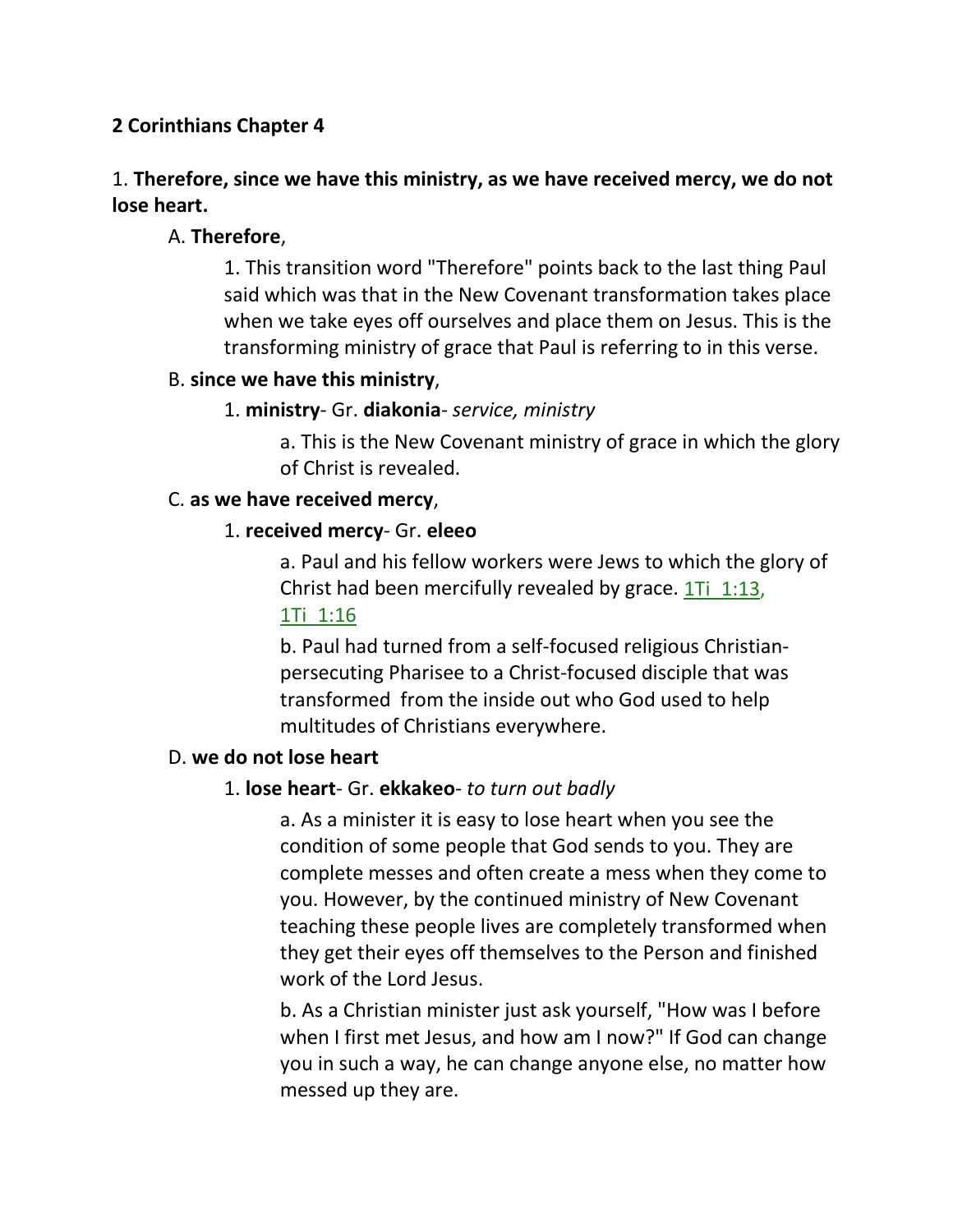## **2 Corinthians Chapter 4**

# 1. **Therefore, since we have this ministry, as we have received mercy, we do not lose heart.**

## A. **Therefore**,

1. This transition word "Therefore" points back to the last thing Paul said which was that in the New Covenant transformation takes place when we take eyes off ourselves and place them on Jesus. This is the transforming ministry of grace that Paul is referring to in this verse.

## B. **since we have this ministry**,

## 1. **ministry**- Gr. **diakonia**- *service, ministry*

a. This is the New Covenant ministry of grace in which the glory of Christ is revealed.

## C. **as we have received mercy**,

## 1. **received mercy**- Gr. **eleeo**

a. Paul and his fellow workers were Jews to which the glory of Christ had been mercifully revealed by grace.  $1Ti$   $1:13$ , 1Ti\_1:16

b. Paul had turned from a self-focused religious Christianpersecuting Pharisee to a Christ-focused disciple that was transformed from the inside out who God used to help multitudes of Christians everywhere.

## D. **we do not lose heart**

## 1. **lose heart**- Gr. **ekkakeo**- *to turn out badly*

a. As a minister it is easy to lose heart when you see the condition of some people that God sends to you. They are complete messes and often create a mess when they come to you. However, by the continued ministry of New Covenant teaching these people lives are completely transformed when they get their eyes off themselves to the Person and finished work of the Lord Jesus.

b. As a Christian minister just ask yourself, "How was I before when I first met Jesus, and how am I now?" If God can change you in such a way, he can change anyone else, no matter how messed up they are.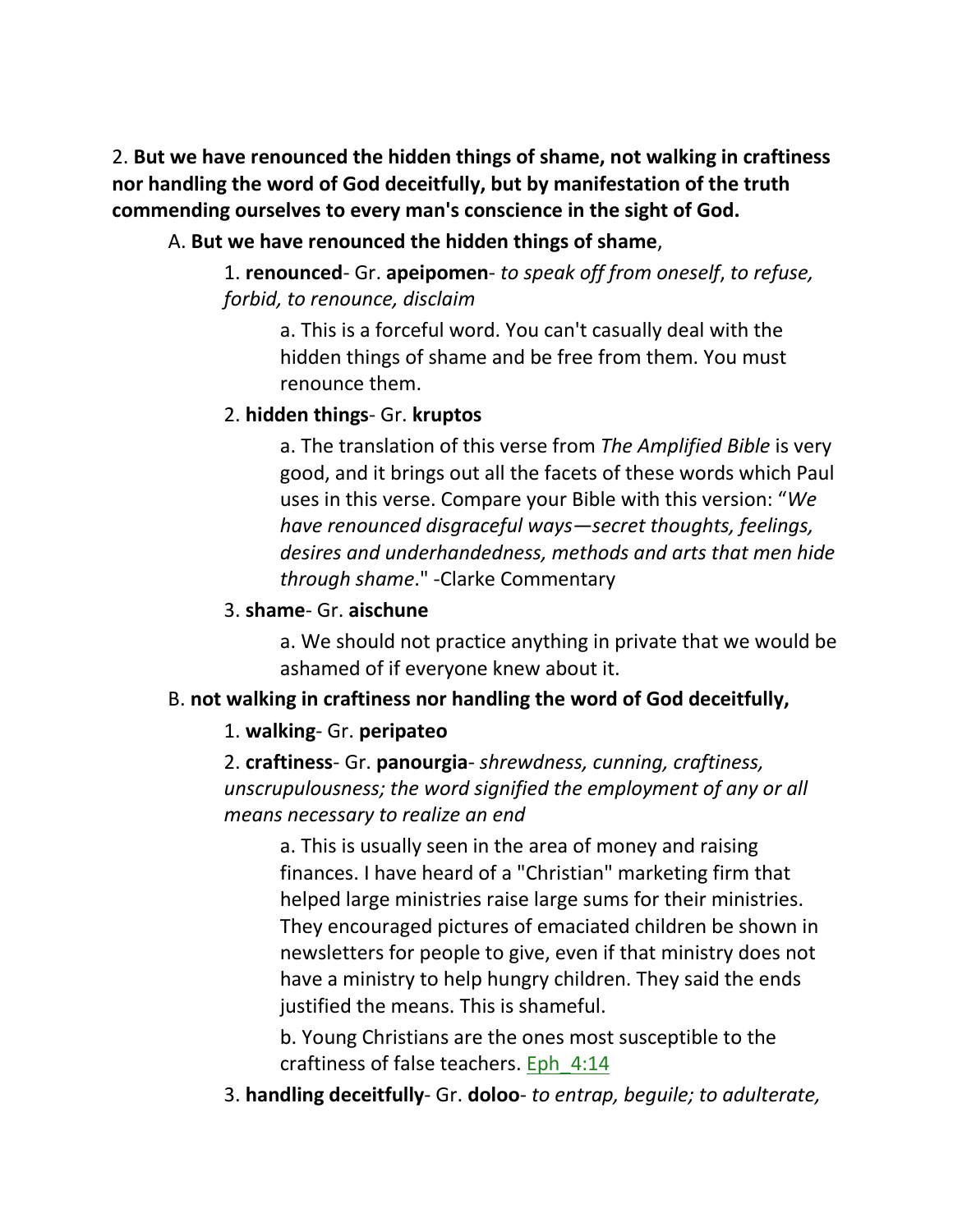2. **But we have renounced the hidden things of shame, not walking in craftiness nor handling the word of God deceitfully, but by manifestation of the truth commending ourselves to every man's conscience in the sight of God.** 

## A. **But we have renounced the hidden things of shame**,

1. **renounced**- Gr. **apeipomen**- *to speak off from oneself*, *to refuse, forbid, to renounce, disclaim*

a. This is a forceful word. You can't casually deal with the hidden things of shame and be free from them. You must renounce them.

## 2. **hidden things**- Gr. **kruptos**

a. The translation of this verse from *The Amplified Bible* is very good, and it brings out all the facets of these words which Paul uses in this verse. Compare your Bible with this version: "*We have renounced disgraceful ways—secret thoughts, feelings, desires and underhandedness, methods and arts that men hide through shame*." -Clarke Commentary

## 3. **shame**- Gr. **aischune**

a. We should not practice anything in private that we would be ashamed of if everyone knew about it.

# B. **not walking in craftiness nor handling the word of God deceitfully,**

## 1. **walking**- Gr. **peripateo**

2. **craftiness**- Gr. **panourgia**- *shrewdness, cunning, craftiness, unscrupulousness; the word signified the employment of any or all means necessary to realize an end*

a. This is usually seen in the area of money and raising finances. I have heard of a "Christian" marketing firm that helped large ministries raise large sums for their ministries. They encouraged pictures of emaciated children be shown in newsletters for people to give, even if that ministry does not have a ministry to help hungry children. They said the ends justified the means. This is shameful.

b. Young Christians are the ones most susceptible to the craftiness of false teachers. Eph  $4:14$ 

3. **handling deceitfully**- Gr. **doloo**- *to entrap, beguile; to adulterate,*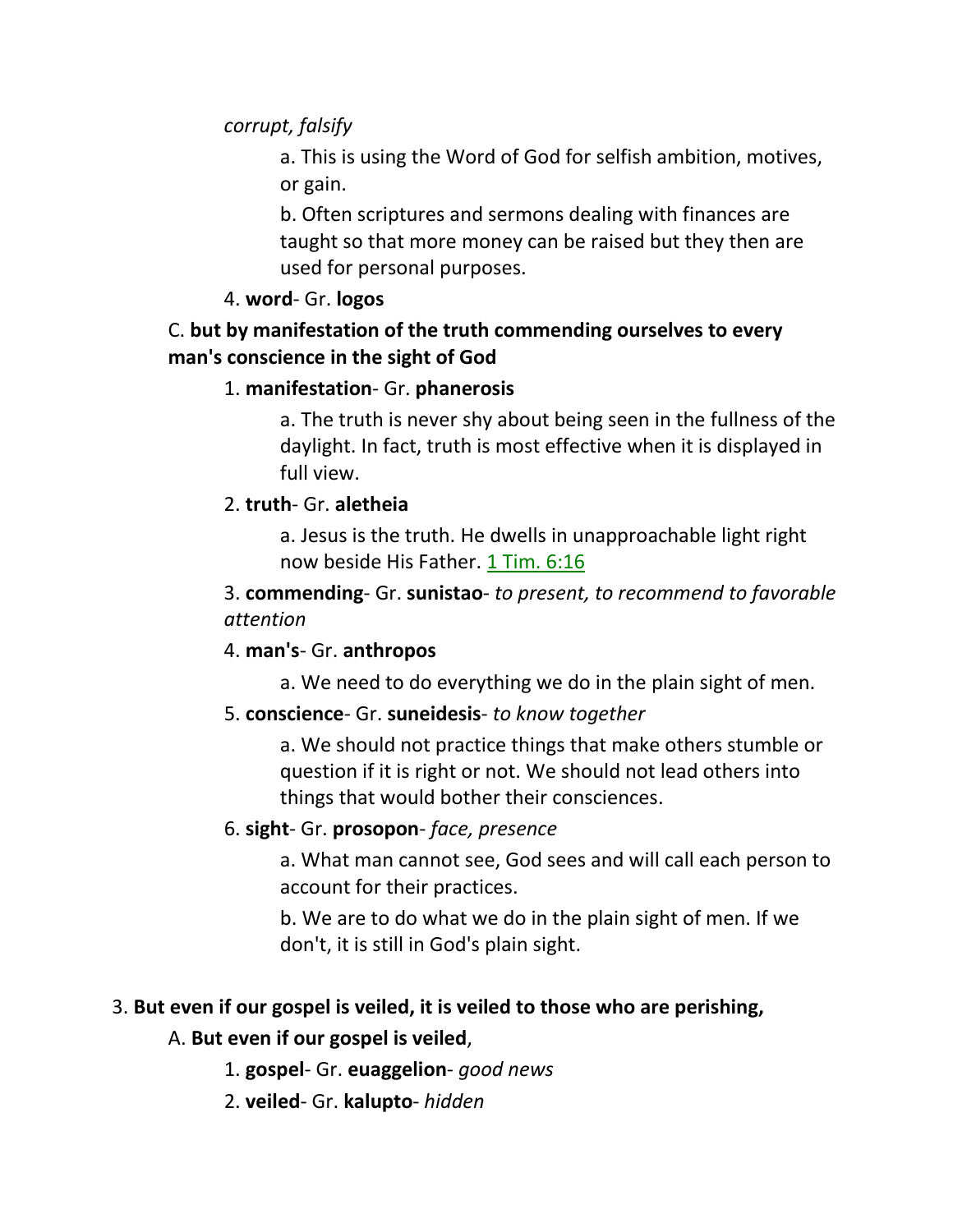## *corrupt, falsify*

a. This is using the Word of God for selfish ambition, motives, or gain.

b. Often scriptures and sermons dealing with finances are taught so that more money can be raised but they then are used for personal purposes.

## 4. **word**- Gr. **logos**

## C. **but by manifestation of the truth commending ourselves to every man's conscience in the sight of God**

## 1. **manifestation**- Gr. **phanerosis**

a. The truth is never shy about being seen in the fullness of the daylight. In fact, truth is most effective when it is displayed in full view.

## 2. **truth**- Gr. **aletheia**

a. Jesus is the truth. He dwells in unapproachable light right now beside His Father. 1 Tim. 6:16

3. **commending**- Gr. **sunistao**- *to present, to recommend to favorable attention*

## 4. **man's**- Gr. **anthropos**

a. We need to do everything we do in the plain sight of men.

## 5. **conscience**- Gr. **suneidesis**- *to know together*

a. We should not practice things that make others stumble or question if it is right or not. We should not lead others into things that would bother their consciences.

## 6. **sight**- Gr. **prosopon**- *face, presence*

a. What man cannot see, God sees and will call each person to account for their practices.

b. We are to do what we do in the plain sight of men. If we don't, it is still in God's plain sight.

# 3. **But even if our gospel is veiled, it is veiled to those who are perishing,**

## A. **But even if our gospel is veiled**,

- 1. **gospel** Gr. **euaggelion** *good news*
- 2. **veiled** Gr. **kalupto** *hidden*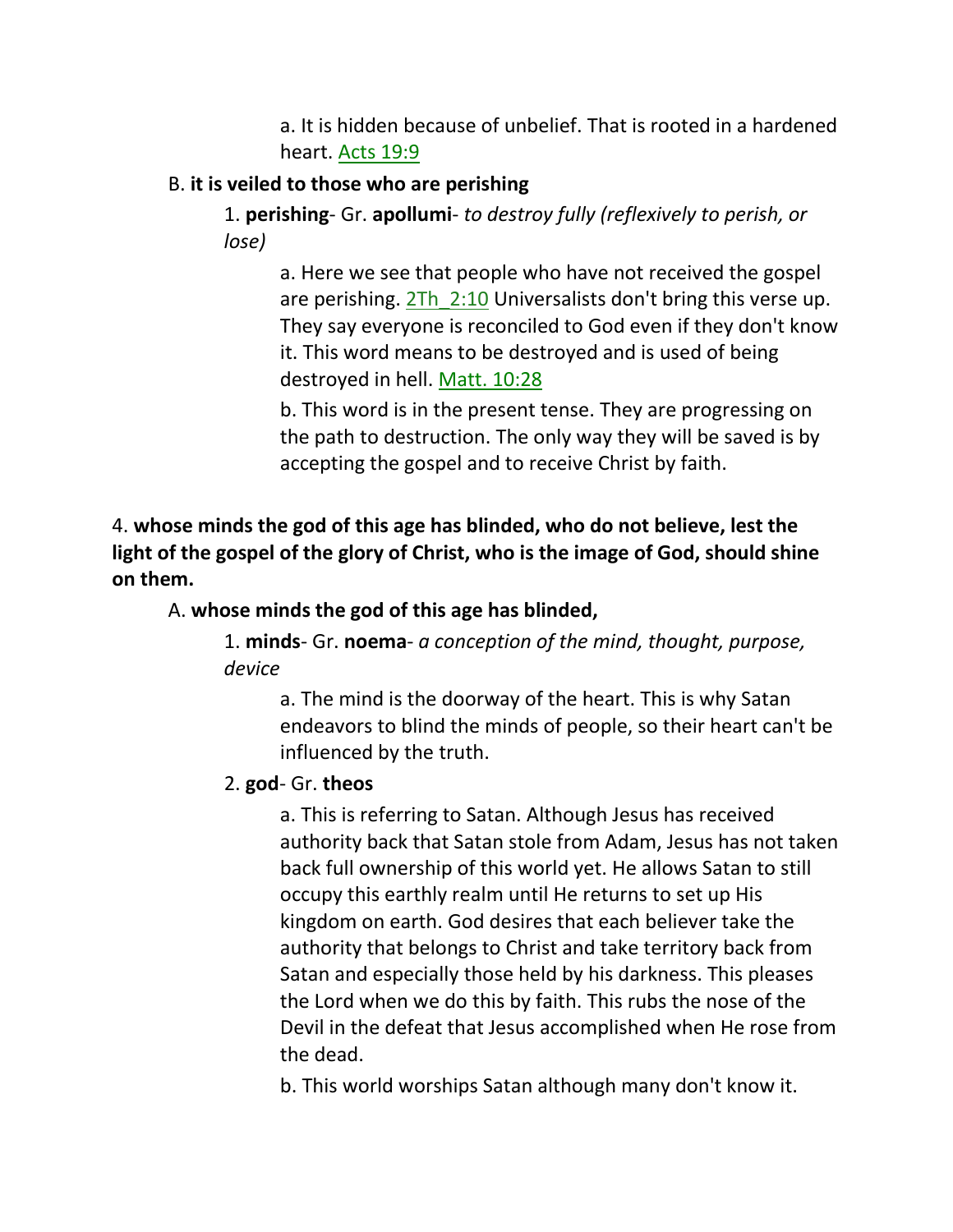a. It is hidden because of unbelief. That is rooted in a hardened heart. Acts 19:9

## B. **it is veiled to those who are perishing**

1. **perishing**- Gr. **apollumi**- *to destroy fully (reflexively to perish, or lose)*

a. Here we see that people who have not received the gospel are perishing. 2Th 2:10 Universalists don't bring this verse up. They say everyone is reconciled to God even if they don't know it. This word means to be destroyed and is used of being destroyed in hell. Matt. 10:28

b. This word is in the present tense. They are progressing on the path to destruction. The only way they will be saved is by accepting the gospel and to receive Christ by faith.

4. **whose minds the god of this age has blinded, who do not believe, lest the light of the gospel of the glory of Christ, who is the image of God, should shine on them.** 

## A. **whose minds the god of this age has blinded,**

1. **minds**- Gr. **noema**- *a conception of the mind, thought, purpose, device*

a. The mind is the doorway of the heart. This is why Satan endeavors to blind the minds of people, so their heart can't be influenced by the truth.

## 2. **god**- Gr. **theos**

a. This is referring to Satan. Although Jesus has received authority back that Satan stole from Adam, Jesus has not taken back full ownership of this world yet. He allows Satan to still occupy this earthly realm until He returns to set up His kingdom on earth. God desires that each believer take the authority that belongs to Christ and take territory back from Satan and especially those held by his darkness. This pleases the Lord when we do this by faith. This rubs the nose of the Devil in the defeat that Jesus accomplished when He rose from the dead.

b. This world worships Satan although many don't know it.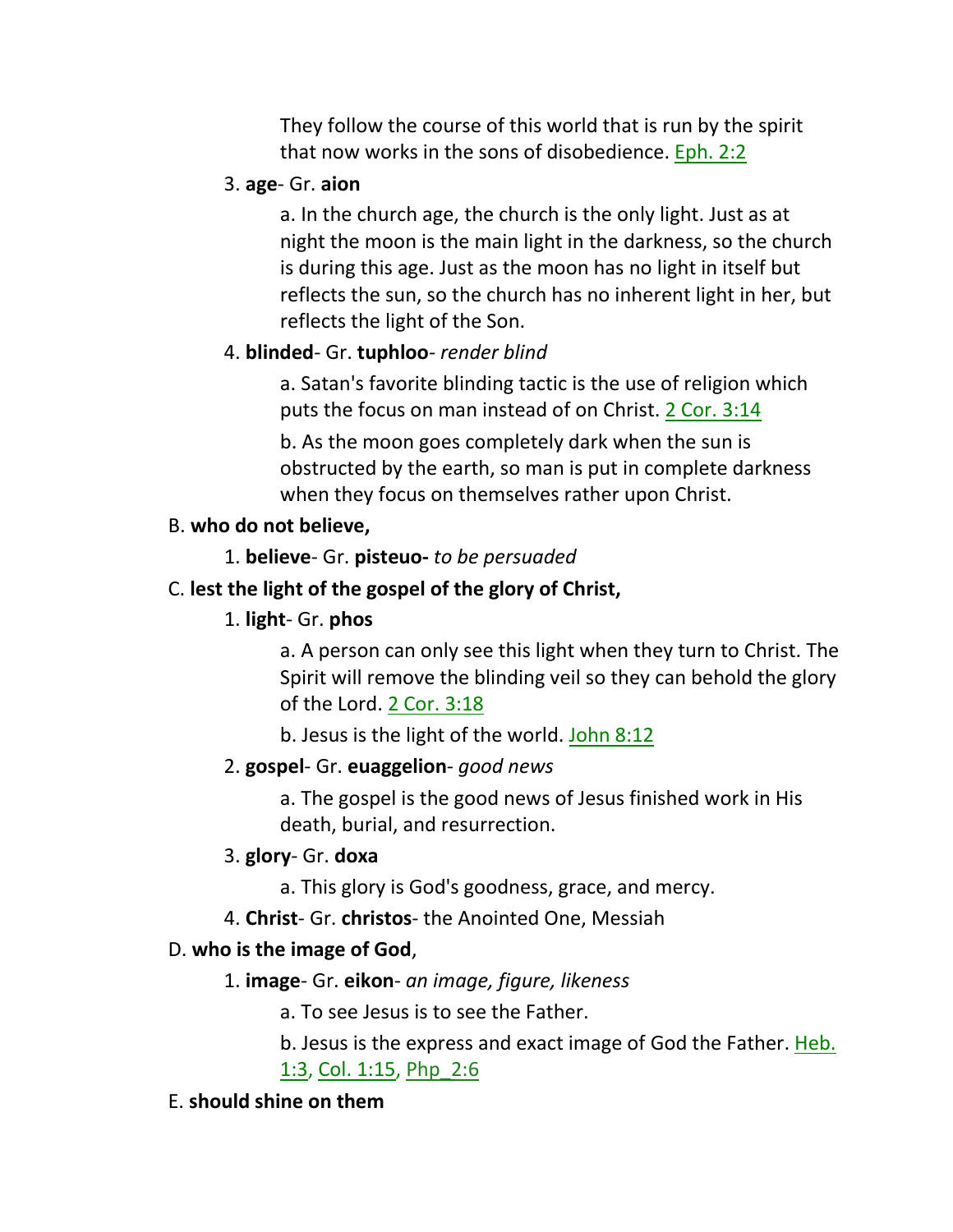They follow the course of this world that is run by the spirit that now works in the sons of disobedience. Eph. 2:2

## 3. **age**- Gr. **aion**

a. In the church age, the church is the only light. Just as at night the moon is the main light in the darkness, so the church is during this age. Just as the moon has no light in itself but reflects the sun, so the church has no inherent light in her, but reflects the light of the Son.

## 4. **blinded**- Gr. **tuphloo**- *render blind*

a. Satan's favorite blinding tactic is the use of religion which puts the focus on man instead of on Christ. 2 Cor. 3:14

b. As the moon goes completely dark when the sun is obstructed by the earth, so man is put in complete darkness when they focus on themselves rather upon Christ.

## B. **who do not believe,**

1. **believe**- Gr. **pisteuo-** *to be persuaded*

# C. **lest the light of the gospel of the glory of Christ,**

## 1. **light**- Gr. **phos**

a. A person can only see this light when they turn to Christ. The Spirit will remove the blinding veil so they can behold the glory of the Lord. 2 Cor. 3:18

b. Jesus is the light of the world. John 8:12

## 2. **gospel**- Gr. **euaggelion**- *good news*

a. The gospel is the good news of Jesus finished work in His death, burial, and resurrection.

## 3. **glory**- Gr. **doxa**

- a. This glory is God's goodness, grace, and mercy.
- 4. **Christ** Gr. **christos** the Anointed One, Messiah

## D. **who is the image of God**,

## 1. **image**- Gr. **eikon**- *an image, figure, likeness*

a. To see Jesus is to see the Father.

b. Jesus is the express and exact image of God the Father. Heb. 1:3, Col. 1:15, Php 2:6

## E. **should shine on them**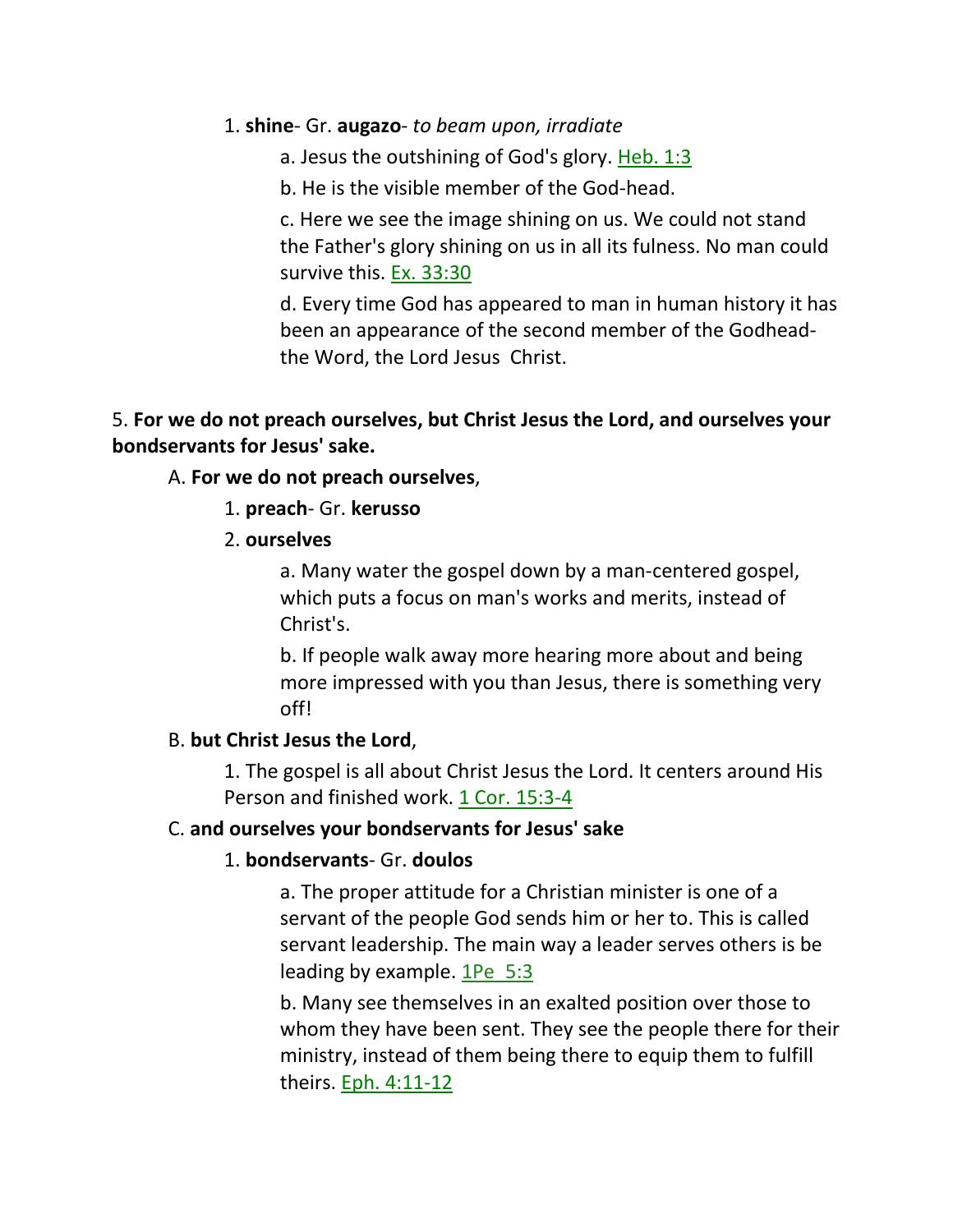### 1. **shine**- Gr. **augazo**- *to beam upon, irradiate*

a. Jesus the outshining of God's glory. Heb. 1:3

b. He is the visible member of the God-head.

c. Here we see the image shining on us. We could not stand the Father's glory shining on us in all its fulness. No man could survive this. Ex. 33:30

d. Every time God has appeared to man in human history it has been an appearance of the second member of the Godheadthe Word, the Lord Jesus Christ.

## 5. **For we do not preach ourselves, but Christ Jesus the Lord, and ourselves your bondservants for Jesus' sake.**

## A. **For we do not preach ourselves**,

- 1. **preach** Gr. **kerusso**
- 2. **ourselves**

a. Many water the gospel down by a man-centered gospel, which puts a focus on man's works and merits, instead of Christ's.

b. If people walk away more hearing more about and being more impressed with you than Jesus, there is something very off!

## B. **but Christ Jesus the Lord**,

1. The gospel is all about Christ Jesus the Lord. It centers around His Person and finished work. 1 Cor. 15:3-4

## C. **and ourselves your bondservants for Jesus' sake**

## 1. **bondservants**- Gr. **doulos**

a. The proper attitude for a Christian minister is one of a servant of the people God sends him or her to. This is called servant leadership. The main way a leader serves others is be leading by example.  $1\text{Pe}$  5:3

b. Many see themselves in an exalted position over those to whom they have been sent. They see the people there for their ministry, instead of them being there to equip them to fulfill theirs. Eph. 4:11-12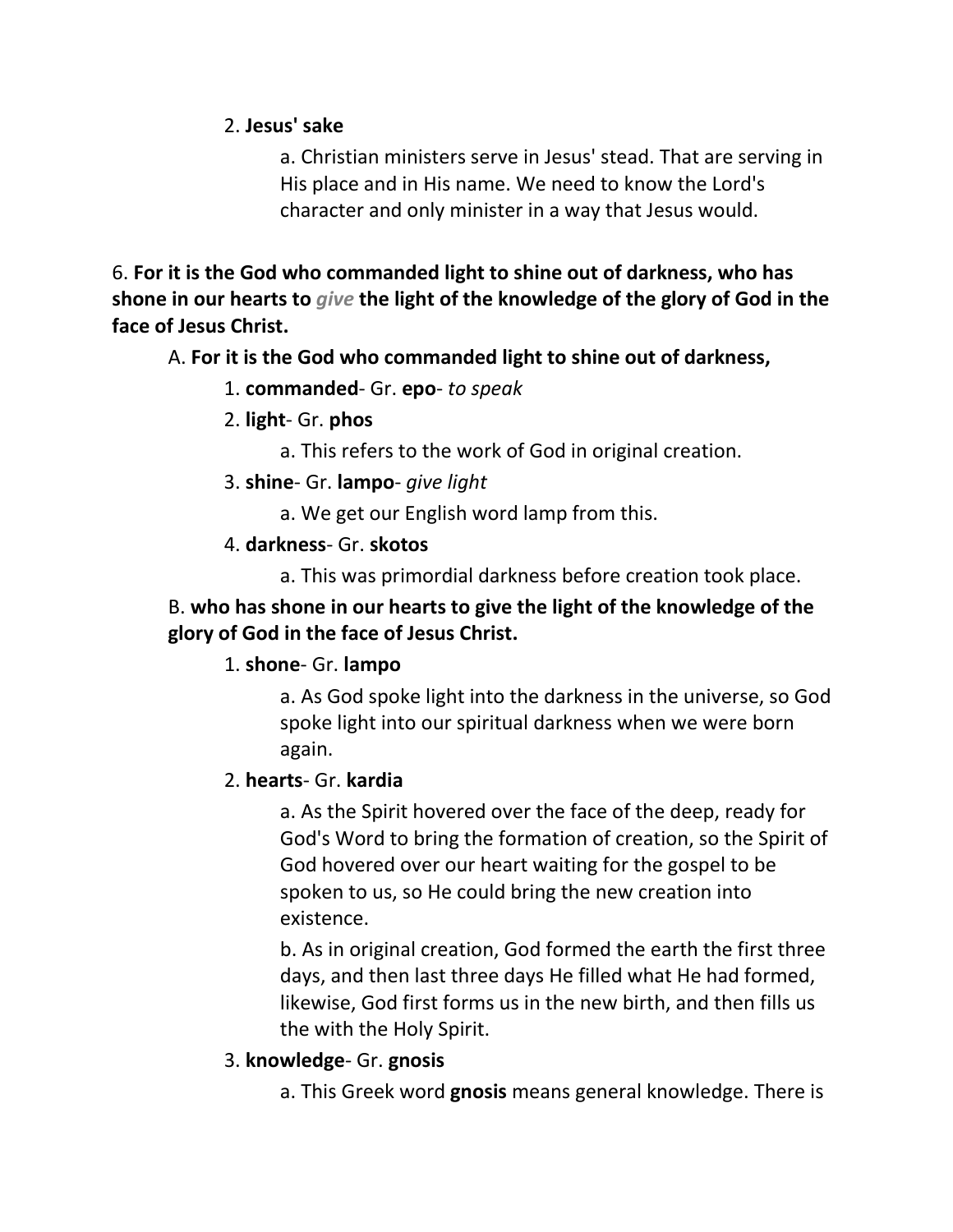## 2. **Jesus' sake**

a. Christian ministers serve in Jesus' stead. That are serving in His place and in His name. We need to know the Lord's character and only minister in a way that Jesus would.

6. **For it is the God who commanded light to shine out of darkness, who has shone in our hearts to** *give* **the light of the knowledge of the glory of God in the face of Jesus Christ.** 

## A. **For it is the God who commanded light to shine out of darkness,**

## 1. **commanded**- Gr. **epo**- *to speak*

- 2. **light** Gr. **phos**
	- a. This refers to the work of God in original creation.
- 3. **shine** Gr. **lampo** *give light*
	- a. We get our English word lamp from this.
- 4. **darkness** Gr. **skotos**
	- a. This was primordial darkness before creation took place.

# B. **who has shone in our hearts to give the light of the knowledge of the glory of God in the face of Jesus Christ.**

## 1. **shone**- Gr. **lampo**

a. As God spoke light into the darkness in the universe, so God spoke light into our spiritual darkness when we were born again.

## 2. **hearts**- Gr. **kardia**

a. As the Spirit hovered over the face of the deep, ready for God's Word to bring the formation of creation, so the Spirit of God hovered over our heart waiting for the gospel to be spoken to us, so He could bring the new creation into existence.

b. As in original creation, God formed the earth the first three days, and then last three days He filled what He had formed, likewise, God first forms us in the new birth, and then fills us the with the Holy Spirit.

## 3. **knowledge**- Gr. **gnosis**

a. This Greek word **gnosis** means general knowledge. There is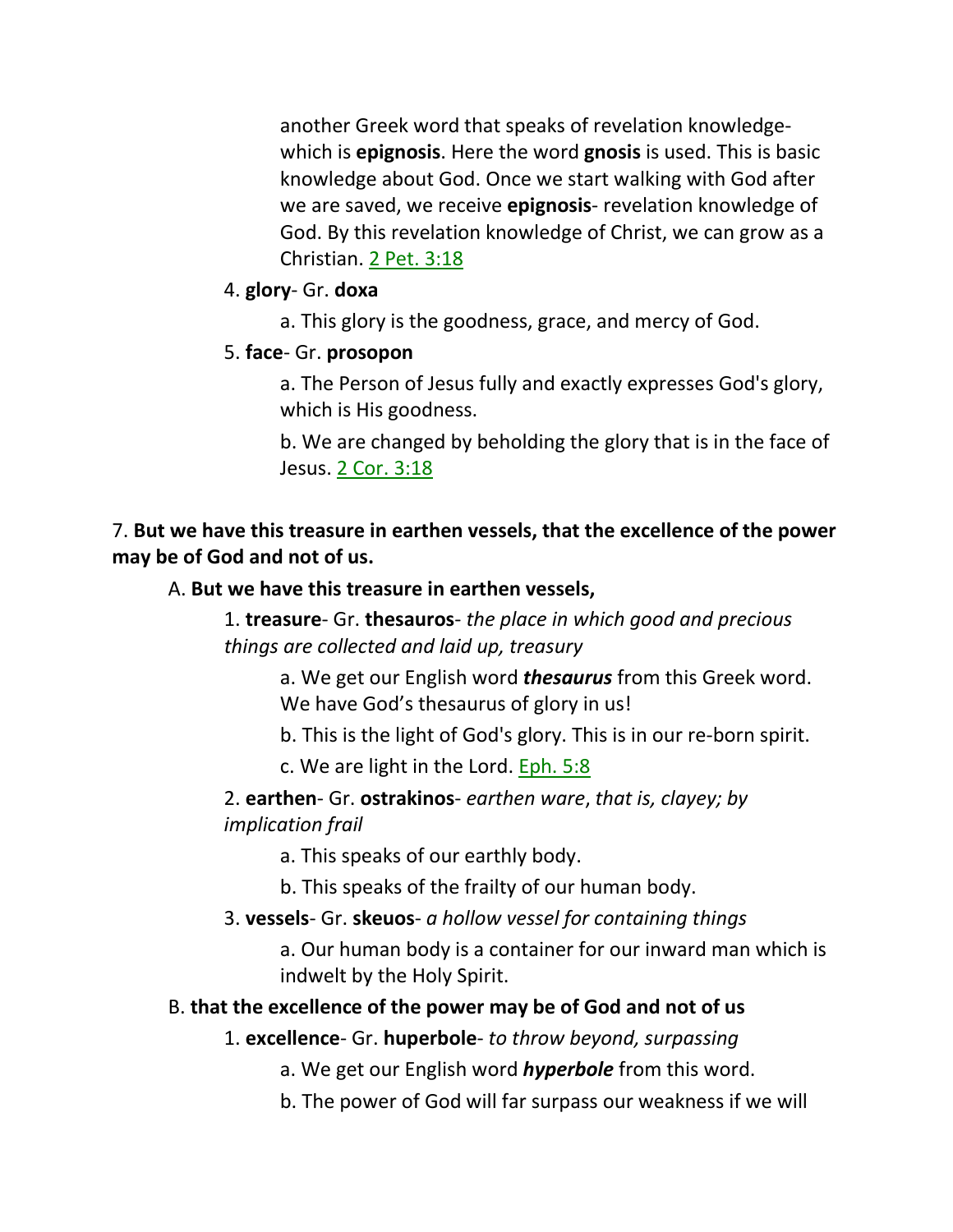another Greek word that speaks of revelation knowledgewhich is **epignosis**. Here the word **gnosis** is used. This is basic knowledge about God. Once we start walking with God after we are saved, we receive **epignosis**- revelation knowledge of God. By this revelation knowledge of Christ, we can grow as a Christian. 2 Pet. 3:18

### 4. **glory**- Gr. **doxa**

a. This glory is the goodness, grace, and mercy of God.

### 5. **face**- Gr. **prosopon**

a. The Person of Jesus fully and exactly expresses God's glory, which is His goodness.

b. We are changed by beholding the glory that is in the face of Jesus. 2 Cor. 3:18

7. **But we have this treasure in earthen vessels, that the excellence of the power may be of God and not of us.** 

#### A. **But we have this treasure in earthen vessels,**

1. **treasure**- Gr. **thesauros**- *the place in which good and precious things are collected and laid up, treasury*

a. We get our English word *thesaurus* from this Greek word. We have God's thesaurus of glory in us!

b. This is the light of God's glory. This is in our re-born spirit.

c. We are light in the Lord. Eph. 5:8

2. **earthen**- Gr. **ostrakinos**- *earthen ware*, *that is, clayey; by implication frail*

a. This speaks of our earthly body.

b. This speaks of the frailty of our human body.

### 3. **vessels**- Gr. **skeuos**- *a hollow vessel for containing things*

a. Our human body is a container for our inward man which is indwelt by the Holy Spirit.

#### B. **that the excellence of the power may be of God and not of us**

1. **excellence**- Gr. **huperbole**- *to throw beyond, surpassing*

a. We get our English word *hyperbole* from this word.

b. The power of God will far surpass our weakness if we will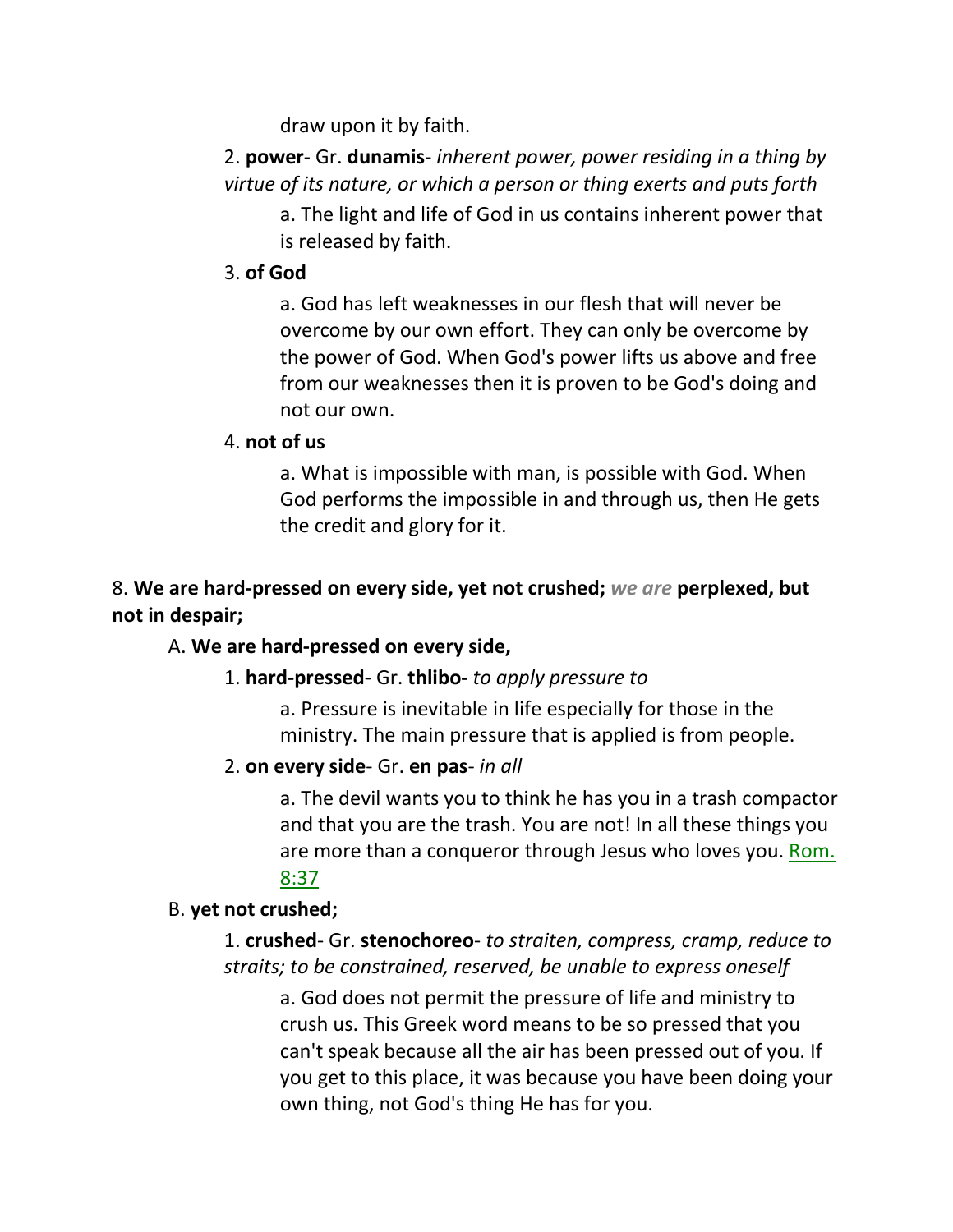draw upon it by faith.

2. **power**- Gr. **dunamis**- *inherent power, power residing in a thing by virtue of its nature, or which a person or thing exerts and puts forth*

a. The light and life of God in us contains inherent power that is released by faith.

## 3. **of God**

a. God has left weaknesses in our flesh that will never be overcome by our own effort. They can only be overcome by the power of God. When God's power lifts us above and free from our weaknesses then it is proven to be God's doing and not our own.

## 4. **not of us**

a. What is impossible with man, is possible with God. When God performs the impossible in and through us, then He gets the credit and glory for it.

# 8. **We are hard-pressed on every side, yet not crushed;** *we are* **perplexed, but not in despair;**

## A. **We are hard-pressed on every side,**

## 1. **hard-pressed**- Gr. **thlibo-** *to apply pressure to*

a. Pressure is inevitable in life especially for those in the ministry. The main pressure that is applied is from people.

## 2. **on every side**- Gr. **en pas**- *in all*

a. The devil wants you to think he has you in a trash compactor and that you are the trash. You are not! In all these things you are more than a conqueror through Jesus who loves you. Rom. 8:37

## B. **yet not crushed;**

1. **crushed**- Gr. **stenochoreo**- *to straiten, compress, cramp, reduce to straits; to be constrained, reserved, be unable to express oneself*

a. God does not permit the pressure of life and ministry to crush us. This Greek word means to be so pressed that you can't speak because all the air has been pressed out of you. If you get to this place, it was because you have been doing your own thing, not God's thing He has for you.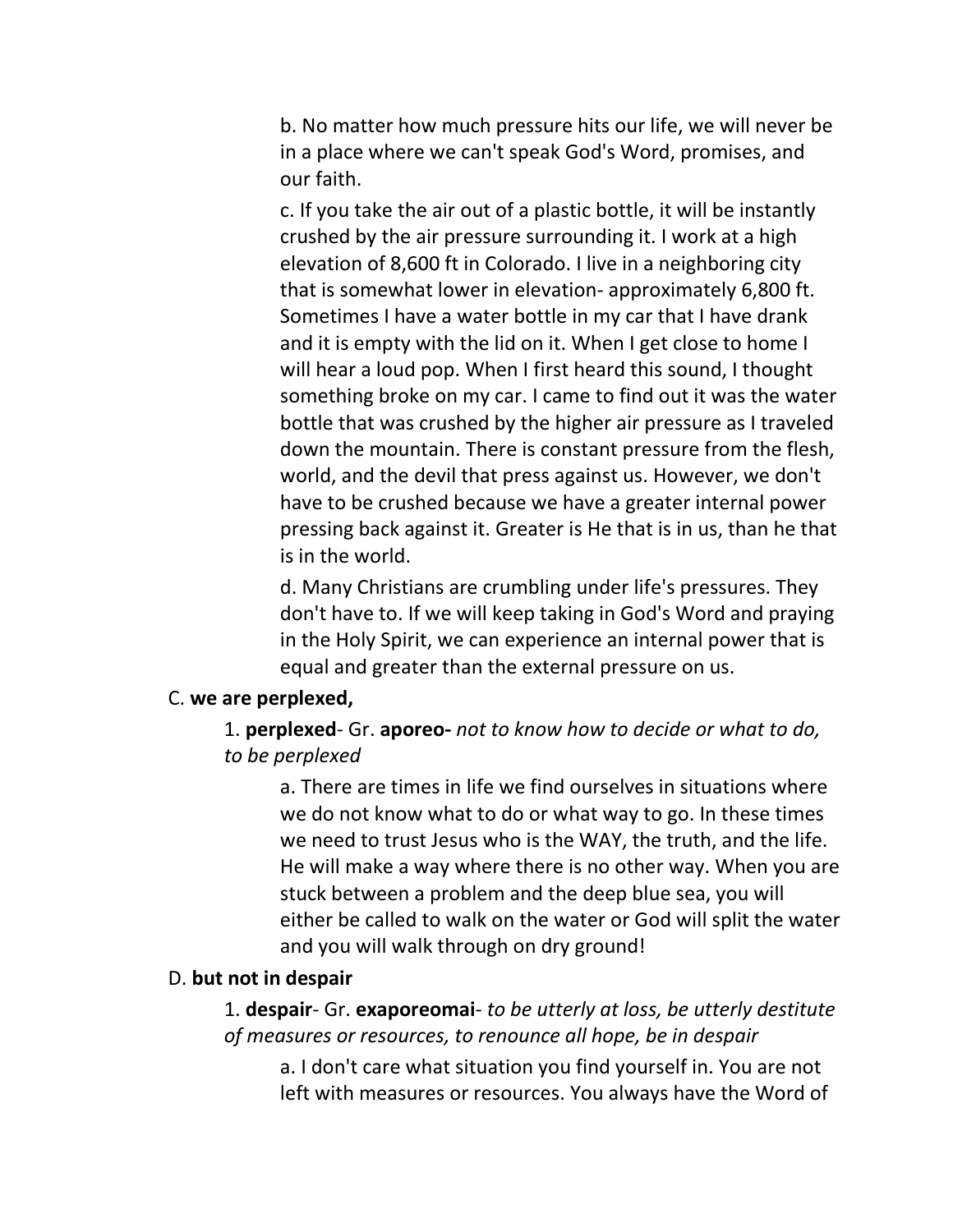b. No matter how much pressure hits our life, we will never be in a place where we can't speak God's Word, promises, and our faith.

c. If you take the air out of a plastic bottle, it will be instantly crushed by the air pressure surrounding it. I work at a high elevation of 8,600 ft in Colorado. I live in a neighboring city that is somewhat lower in elevation- approximately 6,800 ft. Sometimes I have a water bottle in my car that I have drank and it is empty with the lid on it. When I get close to home I will hear a loud pop. When I first heard this sound, I thought something broke on my car. I came to find out it was the water bottle that was crushed by the higher air pressure as I traveled down the mountain. There is constant pressure from the flesh, world, and the devil that press against us. However, we don't have to be crushed because we have a greater internal power pressing back against it. Greater is He that is in us, than he that is in the world.

d. Many Christians are crumbling under life's pressures. They don't have to. If we will keep taking in God's Word and praying in the Holy Spirit, we can experience an internal power that is equal and greater than the external pressure on us.

#### C. **we are perplexed,**

1. **perplexed**- Gr. **aporeo-** *not to know how to decide or what to do, to be perplexed*

a. There are times in life we find ourselves in situations where we do not know what to do or what way to go. In these times we need to trust Jesus who is the WAY, the truth, and the life. He will make a way where there is no other way. When you are stuck between a problem and the deep blue sea, you will either be called to walk on the water or God will split the water and you will walk through on dry ground!

#### D. **but not in despair**

1. **despair**- Gr. **exaporeomai**- *to be utterly at loss, be utterly destitute of measures or resources, to renounce all hope, be in despair*

a. I don't care what situation you find yourself in. You are not left with measures or resources. You always have the Word of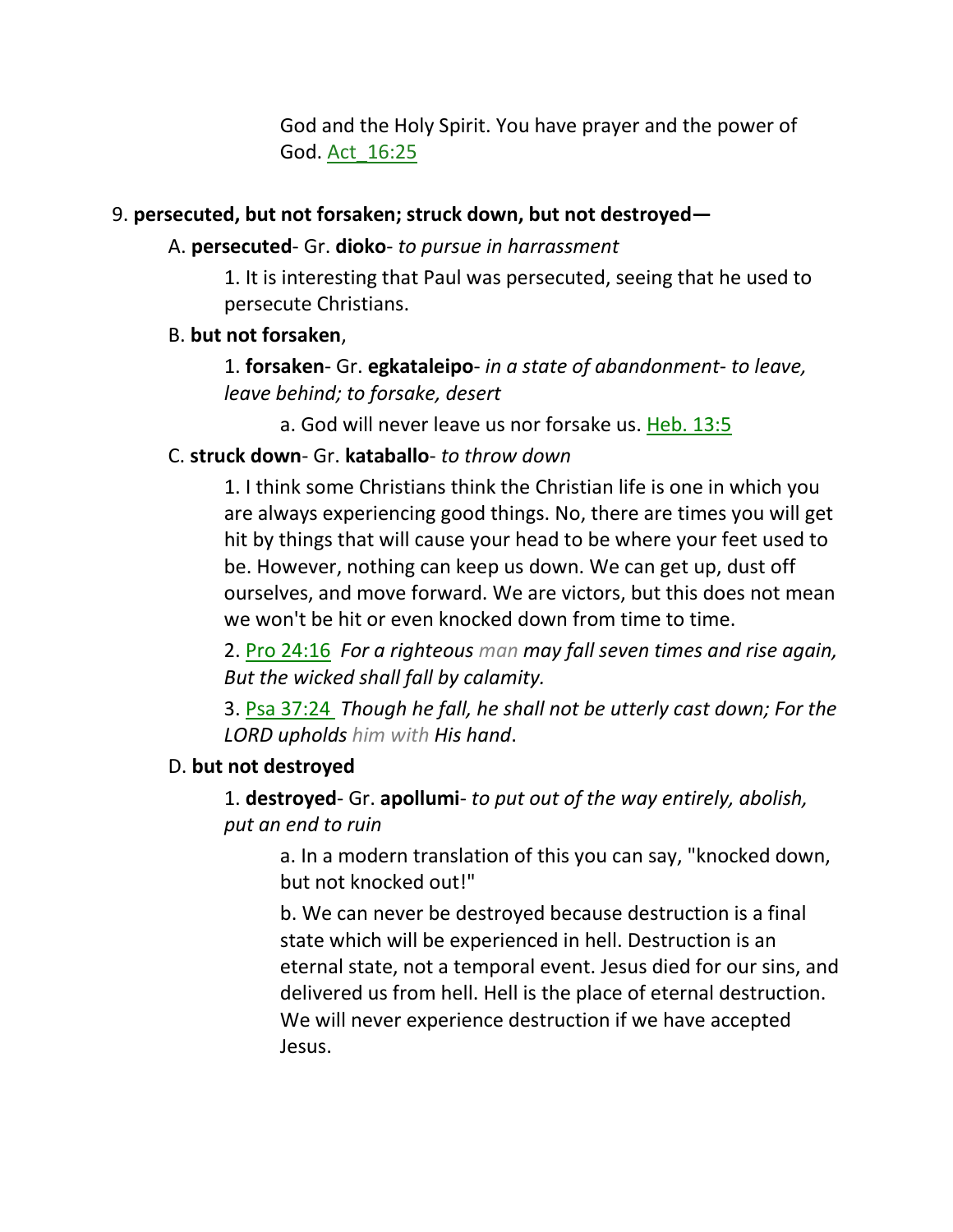God and the Holy Spirit. You have prayer and the power of God. Act\_16:25

### 9. **persecuted, but not forsaken; struck down, but not destroyed—**

### A. **persecuted**- Gr. **dioko**- *to pursue in harrassment*

1. It is interesting that Paul was persecuted, seeing that he used to persecute Christians.

### B. **but not forsaken**,

1. **forsaken**- Gr. **egkataleipo**- *in a state of abandonment- to leave, leave behind; to forsake, desert*

a. God will never leave us nor forsake us. Heb. 13:5

## C. **struck down**- Gr. **kataballo**- *to throw down*

1. I think some Christians think the Christian life is one in which you are always experiencing good things. No, there are times you will get hit by things that will cause your head to be where your feet used to be. However, nothing can keep us down. We can get up, dust off ourselves, and move forward. We are victors, but this does not mean we won't be hit or even knocked down from time to time.

2. Pro 24:16 *For a righteous man may fall seven times and rise again, But the wicked shall fall by calamity.* 

3. Psa 37:24 *Though he fall, he shall not be utterly cast down; For the LORD upholds him with His hand*.

## D. **but not destroyed**

1. **destroyed**- Gr. **apollumi**- *to put out of the way entirely, abolish, put an end to ruin*

a. In a modern translation of this you can say, "knocked down, but not knocked out!"

b. We can never be destroyed because destruction is a final state which will be experienced in hell. Destruction is an eternal state, not a temporal event. Jesus died for our sins, and delivered us from hell. Hell is the place of eternal destruction. We will never experience destruction if we have accepted Jesus.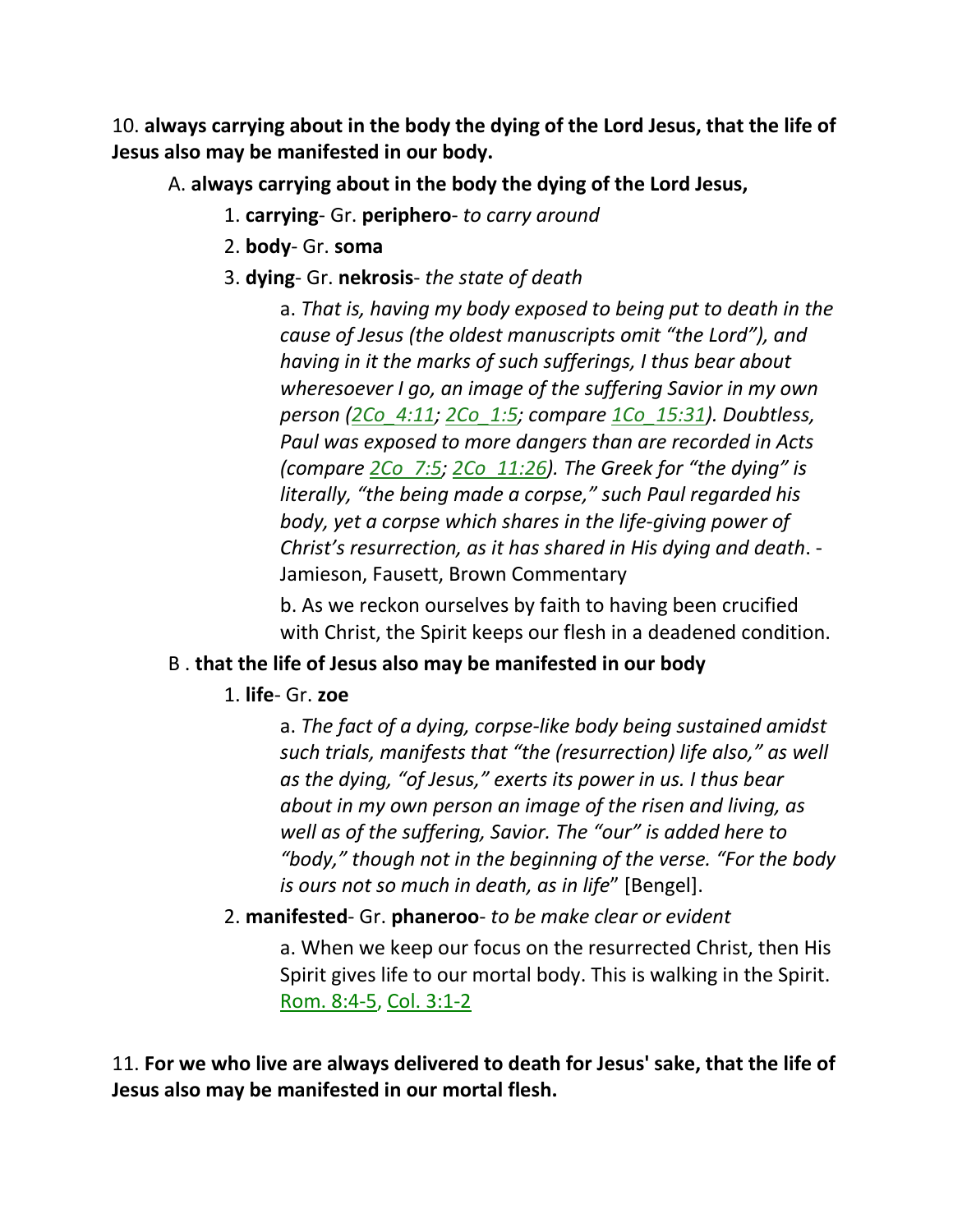10. **always carrying about in the body the dying of the Lord Jesus, that the life of Jesus also may be manifested in our body.**

A. **always carrying about in the body the dying of the Lord Jesus,**

- 1. **carrying** Gr. **periphero** *to carry around*
- 2. **body** Gr. **soma**
- 3. **dying** Gr. **nekrosis** *the state of death*

a. *That is, having my body exposed to being put to death in the cause of Jesus (the oldest manuscripts omit "the Lord"), and having in it the marks of such sufferings, I thus bear about wheresoever I go, an image of the suffering Savior in my own person (2Co\_4:11; 2Co\_1:5; compare 1Co\_15:31). Doubtless, Paul was exposed to more dangers than are recorded in Acts (compare 2Co\_7:5; 2Co\_11:26). The Greek for "the dying" is literally, "the being made a corpse," such Paul regarded his body, yet a corpse which shares in the life-giving power of Christ's resurrection, as it has shared in His dying and death*. - Jamieson, Fausett, Brown Commentary

b. As we reckon ourselves by faith to having been crucified with Christ, the Spirit keeps our flesh in a deadened condition.

## B . **that the life of Jesus also may be manifested in our body**

1. **life**- Gr. **zoe**

a. *The fact of a dying, corpse-like body being sustained amidst such trials, manifests that "the (resurrection) life also," as well as the dying, "of Jesus," exerts its power in us. I thus bear about in my own person an image of the risen and living, as well as of the suffering, Savior. The "our" is added here to "body," though not in the beginning of the verse. "For the body is ours not so much in death, as in life*" [Bengel].

2. **manifested**- Gr. **phaneroo**- *to be make clear or evident*

a. When we keep our focus on the resurrected Christ, then His Spirit gives life to our mortal body. This is walking in the Spirit. Rom. 8:4-5, Col. 3:1-2

11. **For we who live are always delivered to death for Jesus' sake, that the life of Jesus also may be manifested in our mortal flesh.**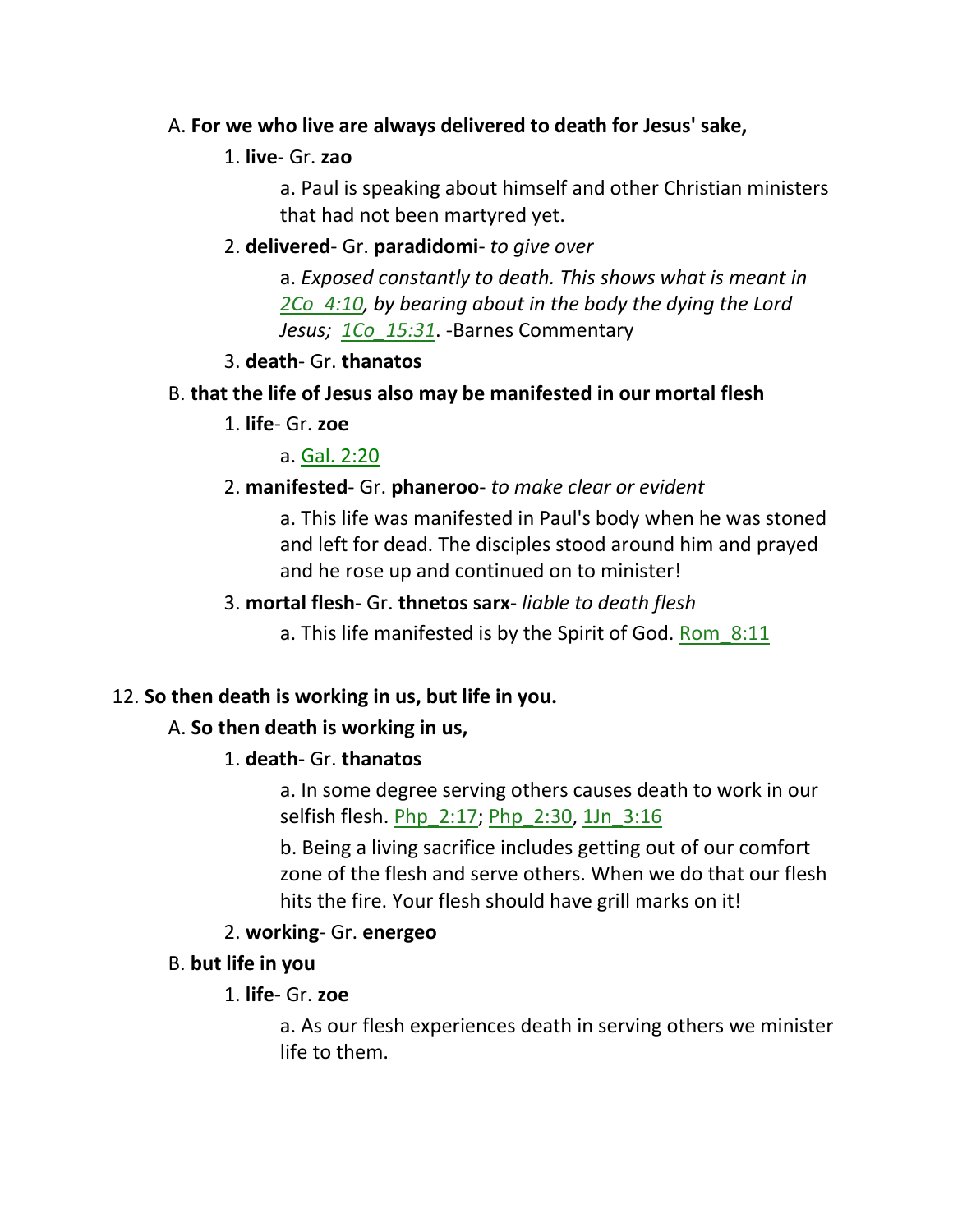## A. **For we who live are always delivered to death for Jesus' sake,**

## 1. **live**- Gr. **zao**

a. Paul is speaking about himself and other Christian ministers that had not been martyred yet.

### 2. **delivered**- Gr. **paradidomi**- *to give over*

a. *Exposed constantly to death. This shows what is meant in 2Co\_4:10, by bearing about in the body the dying the Lord Jesus; 1Co\_15:31*. -Barnes Commentary

## 3. **death**- Gr. **thanatos**

## B. **that the life of Jesus also may be manifested in our mortal flesh**

1. **life**- Gr. **zoe**

a. Gal. 2:20

## 2. **manifested**- Gr. **phaneroo**- *to make clear or evident*

a. This life was manifested in Paul's body when he was stoned and left for dead. The disciples stood around him and prayed and he rose up and continued on to minister!

## 3. **mortal flesh**- Gr. **thnetos sarx**- *liable to death flesh*

a. This life manifested is by the Spirit of God. Rom 8:11

## 12. **So then death is working in us, but life in you.**

## A. **So then death is working in us,**

## 1. **death**- Gr. **thanatos**

a. In some degree serving others causes death to work in our selfish flesh. Php\_2:17; Php\_2:30, 1Jn\_3:16

b. Being a living sacrifice includes getting out of our comfort zone of the flesh and serve others. When we do that our flesh hits the fire. Your flesh should have grill marks on it!

## 2. **working**- Gr. **energeo**

## B. **but life in you**

## 1. **life**- Gr. **zoe**

a. As our flesh experiences death in serving others we minister life to them.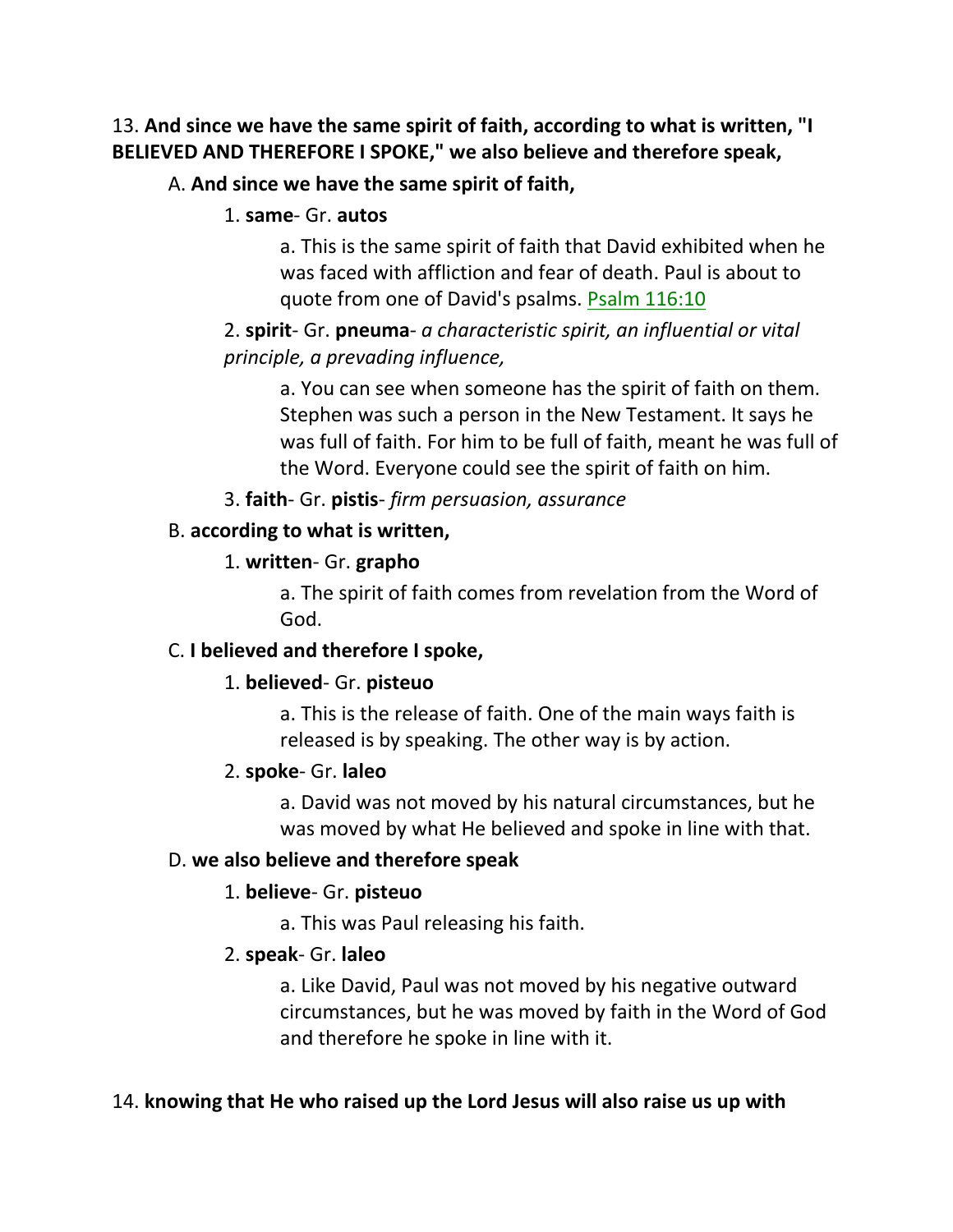13. **And since we have the same spirit of faith, according to what is written, "I BELIEVED AND THEREFORE I SPOKE," we also believe and therefore speak,** 

## A. **And since we have the same spirit of faith,**

#### 1. **same**- Gr. **autos**

a. This is the same spirit of faith that David exhibited when he was faced with affliction and fear of death. Paul is about to quote from one of David's psalms. Psalm 116:10

2. **spirit**- Gr. **pneuma**- *a characteristic spirit, an influential or vital principle, a prevading influence,* 

a. You can see when someone has the spirit of faith on them. Stephen was such a person in the New Testament. It says he was full of faith. For him to be full of faith, meant he was full of the Word. Everyone could see the spirit of faith on him.

3. **faith**- Gr. **pistis**- *firm persuasion, assurance*

### B. **according to what is written,**

## 1. **written**- Gr. **grapho**

a. The spirit of faith comes from revelation from the Word of God.

## C. **I believed and therefore I spoke,**

## 1. **believed**- Gr. **pisteuo**

a. This is the release of faith. One of the main ways faith is released is by speaking. The other way is by action.

## 2. **spoke**- Gr. **laleo**

a. David was not moved by his natural circumstances, but he was moved by what He believed and spoke in line with that.

## D. **we also believe and therefore speak**

## 1. **believe**- Gr. **pisteuo**

a. This was Paul releasing his faith.

## 2. **speak**- Gr. **laleo**

a. Like David, Paul was not moved by his negative outward circumstances, but he was moved by faith in the Word of God and therefore he spoke in line with it.

## 14. **knowing that He who raised up the Lord Jesus will also raise us up with**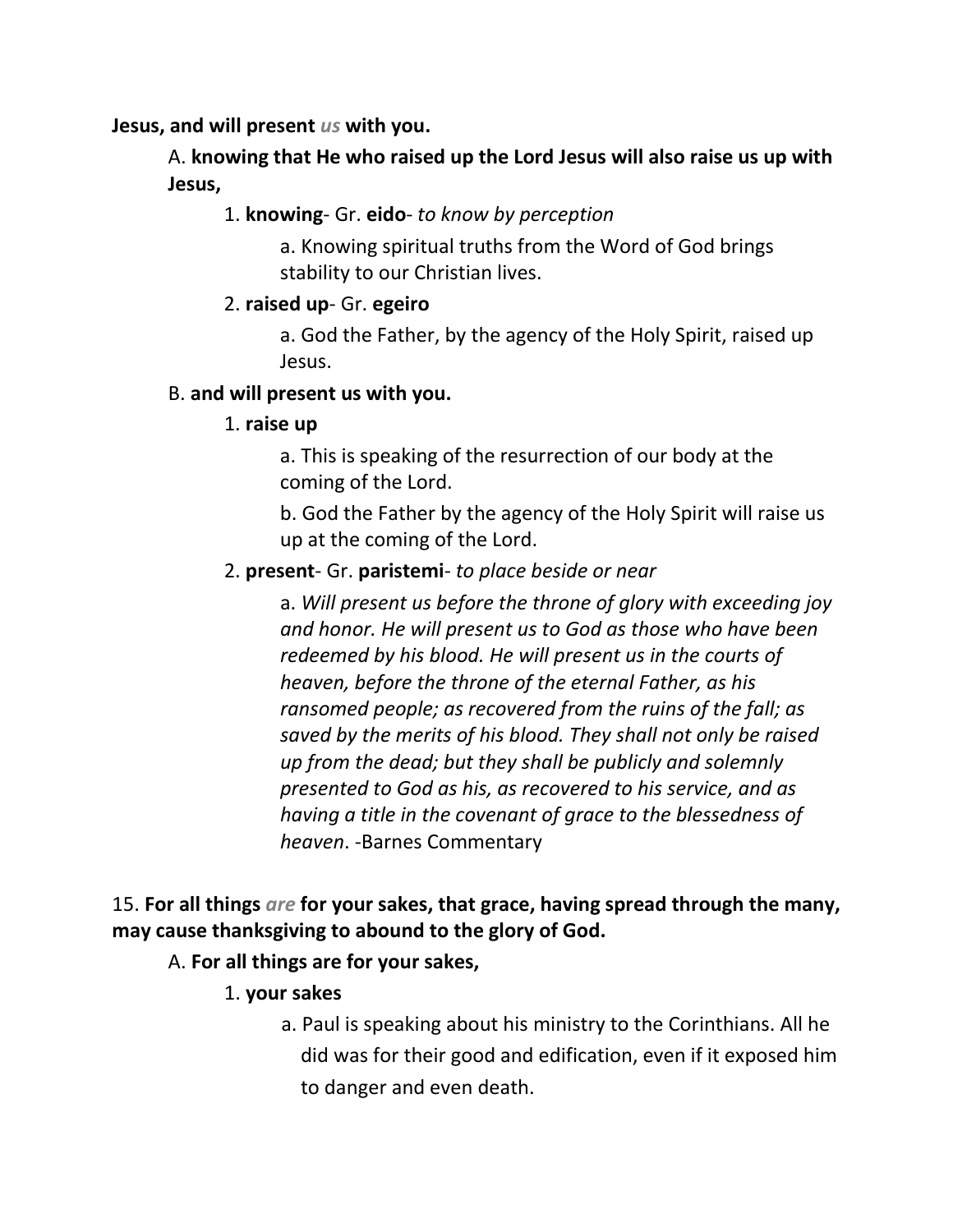**Jesus, and will present** *us* **with you.**

A. **knowing that He who raised up the Lord Jesus will also raise us up with Jesus,**

1. **knowing**- Gr. **eido**- *to know by perception*

a. Knowing spiritual truths from the Word of God brings stability to our Christian lives.

## 2. **raised up**- Gr. **egeiro**

a. God the Father, by the agency of the Holy Spirit, raised up Jesus.

## B. **and will present us with you.**

## 1. **raise up**

a. This is speaking of the resurrection of our body at the coming of the Lord.

b. God the Father by the agency of the Holy Spirit will raise us up at the coming of the Lord.

## 2. **present**- Gr. **paristemi**- *to place beside or near*

a. *Will present us before the throne of glory with exceeding joy and honor. He will present us to God as those who have been redeemed by his blood. He will present us in the courts of heaven, before the throne of the eternal Father, as his ransomed people; as recovered from the ruins of the fall; as saved by the merits of his blood. They shall not only be raised up from the dead; but they shall be publicly and solemnly presented to God as his, as recovered to his service, and as having a title in the covenant of grace to the blessedness of heaven*. -Barnes Commentary

15. **For all things** *are* **for your sakes, that grace, having spread through the many, may cause thanksgiving to abound to the glory of God.**

## A. **For all things are for your sakes,**

- 1. **your sakes**
	- a. Paul is speaking about his ministry to the Corinthians. All he did was for their good and edification, even if it exposed him to danger and even death.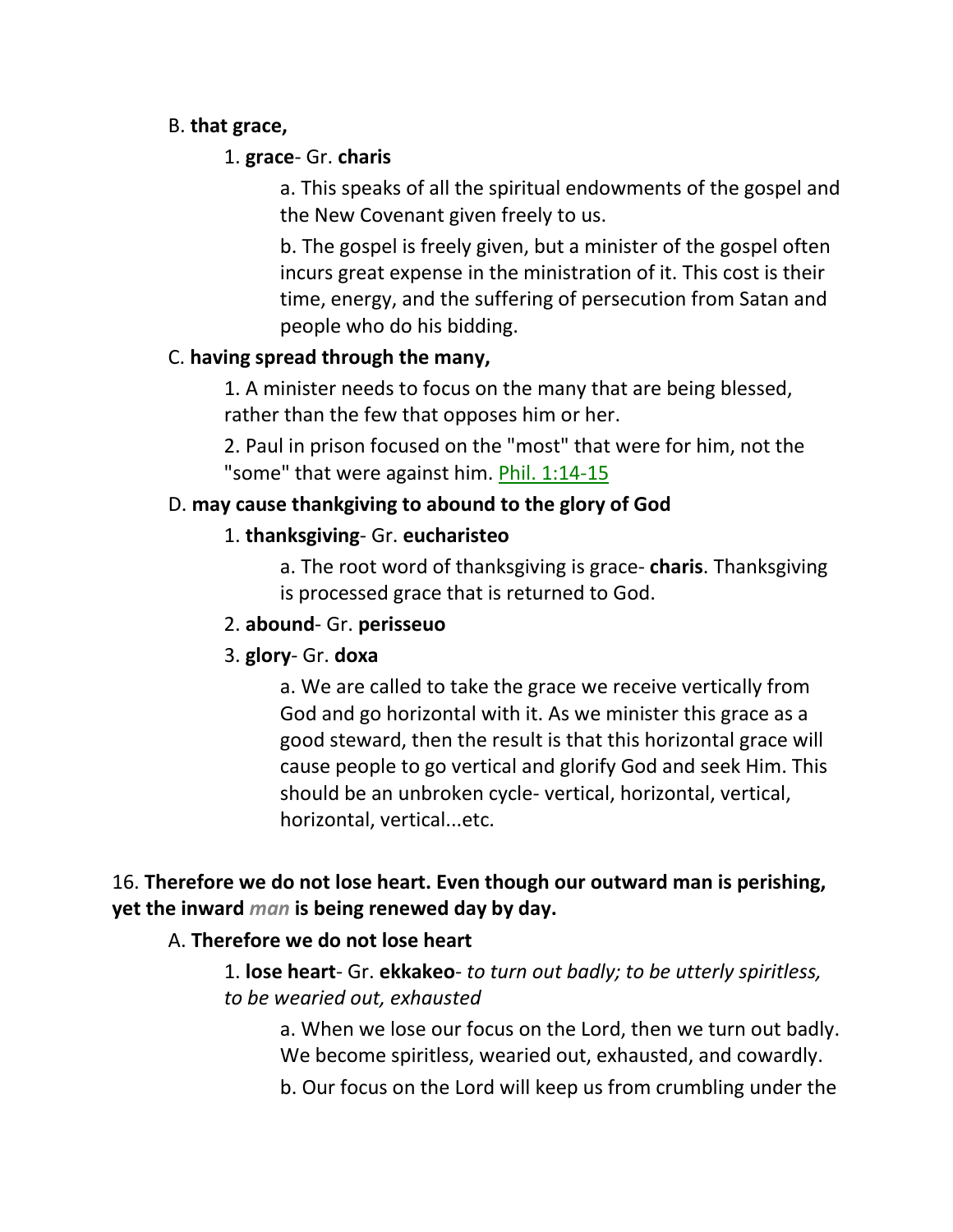## B. **that grace,**

## 1. **grace**- Gr. **charis**

a. This speaks of all the spiritual endowments of the gospel and the New Covenant given freely to us.

b. The gospel is freely given, but a minister of the gospel often incurs great expense in the ministration of it. This cost is their time, energy, and the suffering of persecution from Satan and people who do his bidding.

## C. **having spread through the many,**

1. A minister needs to focus on the many that are being blessed, rather than the few that opposes him or her.

2. Paul in prison focused on the "most" that were for him, not the "some" that were against him. Phil. 1:14-15

# D. **may cause thankgiving to abound to the glory of God**

# 1. **thanksgiving**- Gr. **eucharisteo**

a. The root word of thanksgiving is grace- **charis**. Thanksgiving is processed grace that is returned to God.

## 2. **abound**- Gr. **perisseuo**

# 3. **glory**- Gr. **doxa**

a. We are called to take the grace we receive vertically from God and go horizontal with it. As we minister this grace as a good steward, then the result is that this horizontal grace will cause people to go vertical and glorify God and seek Him. This should be an unbroken cycle- vertical, horizontal, vertical, horizontal, vertical...etc.

# 16. **Therefore we do not lose heart. Even though our outward man is perishing, yet the inward** *man* **is being renewed day by day.**

# A. **Therefore we do not lose heart**

1. **lose heart**- Gr. **ekkakeo**- *to turn out badly; to be utterly spiritless, to be wearied out, exhausted*

a. When we lose our focus on the Lord, then we turn out badly. We become spiritless, wearied out, exhausted, and cowardly.

b. Our focus on the Lord will keep us from crumbling under the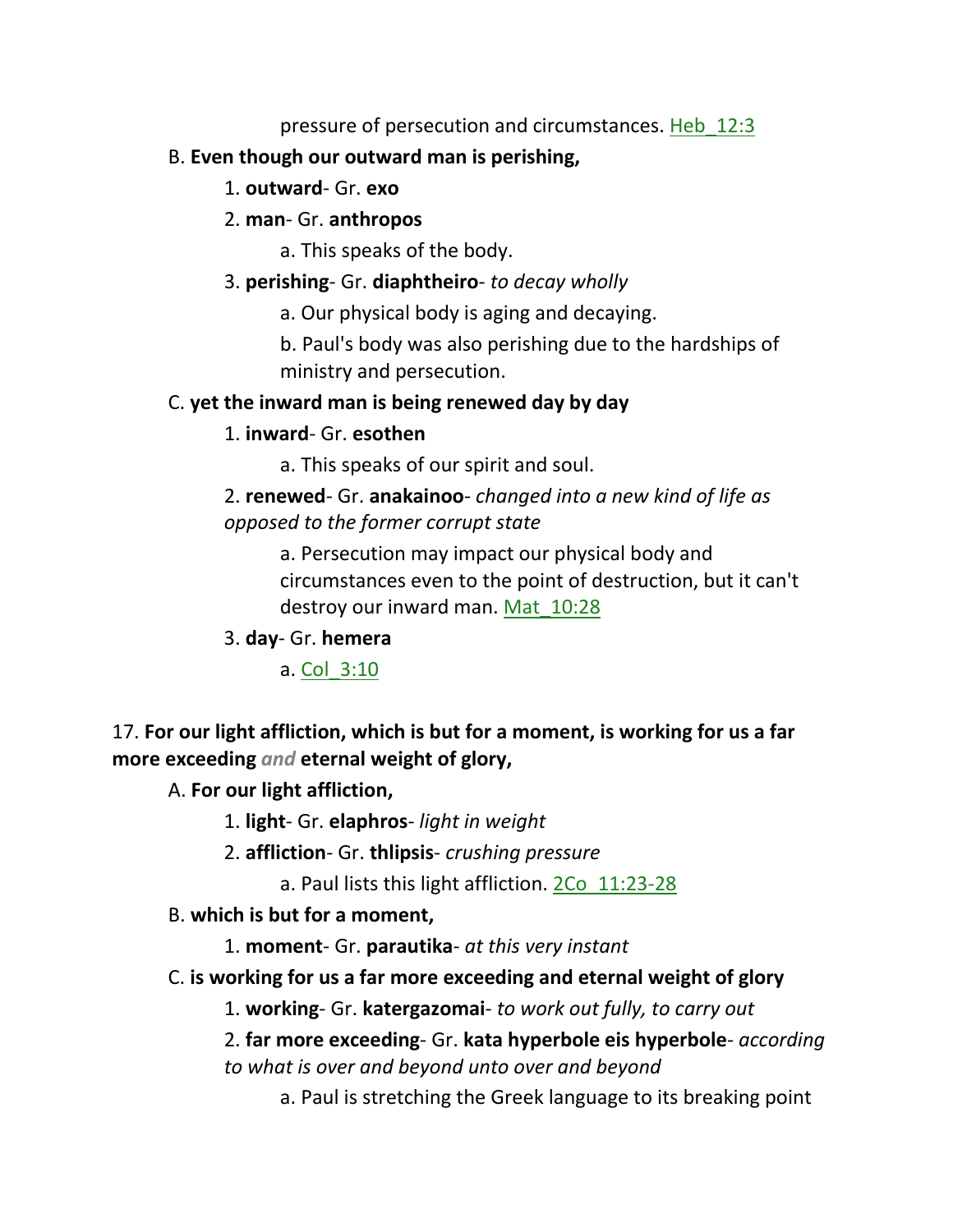pressure of persecution and circumstances. Heb 12:3

## B. **Even though our outward man is perishing,**

- 1. **outward** Gr. **exo**
- 2. **man** Gr. **anthropos**
	- a. This speaks of the body.
- 3. **perishing** Gr. **diaphtheiro** *to decay wholly*
	- a. Our physical body is aging and decaying.

b. Paul's body was also perishing due to the hardships of ministry and persecution.

## C. **yet the inward man is being renewed day by day**

1. **inward**- Gr. **esothen**

a. This speaks of our spirit and soul.

2. **renewed**- Gr. **anakainoo**- *changed into a new kind of life as opposed to the former corrupt state*

> a. Persecution may impact our physical body and circumstances even to the point of destruction, but it can't destroy our inward man. Mat\_10:28

3. **day**- Gr. **hemera**

a. Col\_3:10

# 17. **For our light affliction, which is but for a moment, is working for us a far more exceeding** *and* **eternal weight of glory,**

A. **For our light affliction,**

1. **light**- Gr. **elaphros**- *light in weight*

- 2. **affliction** Gr. **thlipsis** *crushing pressure*
	- a. Paul lists this light affliction. 2Co\_11:23-28

## B. **which is but for a moment,**

1. **moment**- Gr. **parautika**- *at this very instant*

C. **is working for us a far more exceeding and eternal weight of glory**

1. **working**- Gr. **katergazomai**- *to work out fully, to carry out*

- 2. **far more exceeding** Gr. **kata hyperbole eis hyperbole** *according to what is over and beyond unto over and beyond*
	- a. Paul is stretching the Greek language to its breaking point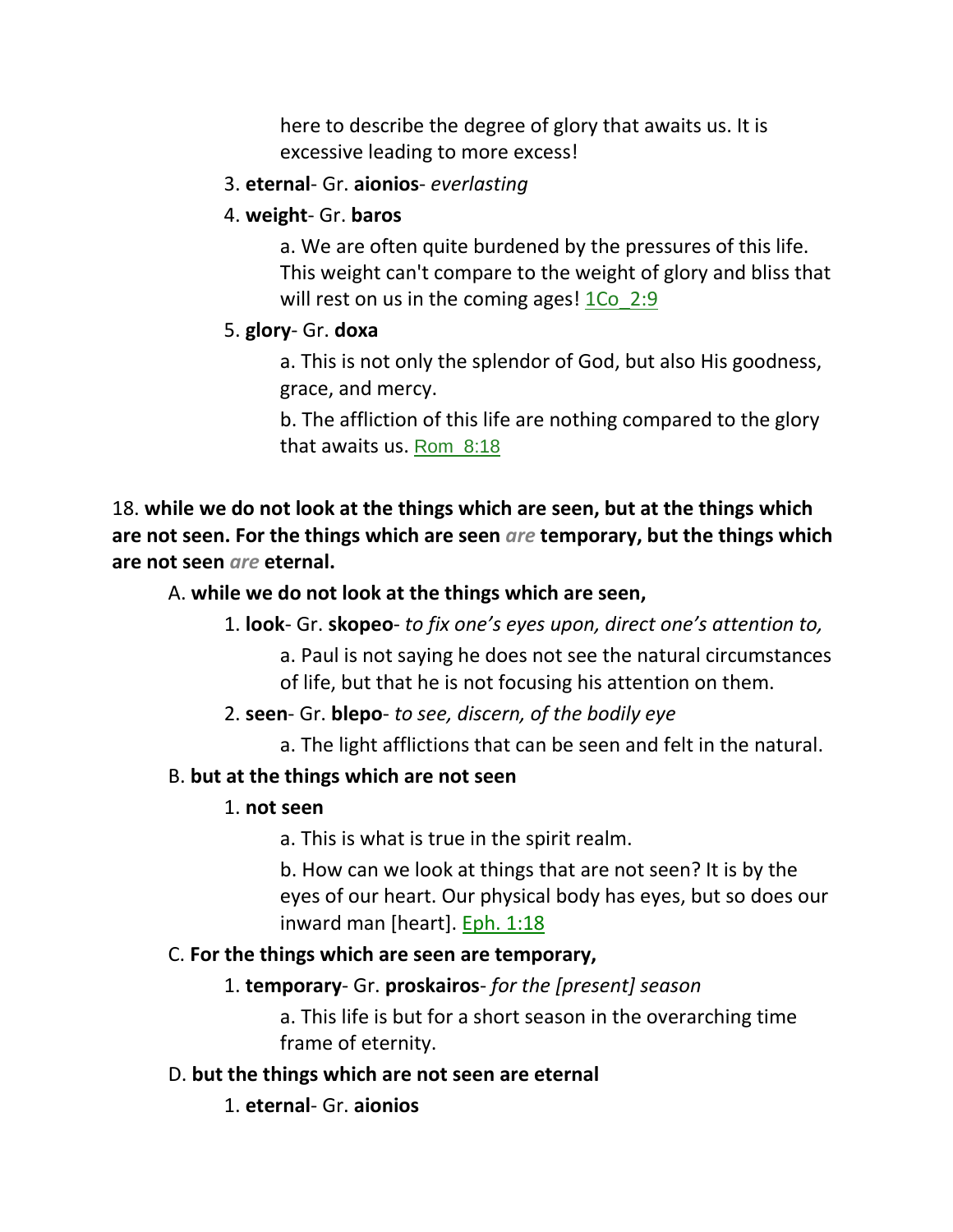here to describe the degree of glory that awaits us. It is excessive leading to more excess!

### 3. **eternal**- Gr. **aionios**- *everlasting*

### 4. **weight**- Gr. **baros**

a. We are often quite burdened by the pressures of this life. This weight can't compare to the weight of glory and bliss that will rest on us in the coming ages! 1Co 2:9

## 5. **glory**- Gr. **doxa**

a. This is not only the splendor of God, but also His goodness, grace, and mercy.

b. The affliction of this life are nothing compared to the glory that awaits us. Rom\_8:18

18. **while we do not look at the things which are seen, but at the things which are not seen. For the things which are seen** *are* **temporary, but the things which are not seen** *are* **eternal.** 

## A. **while we do not look at the things which are seen,**

1. **look**- Gr. **skopeo**- *to fix one's eyes upon, direct one's attention to,* 

a. Paul is not saying he does not see the natural circumstances of life, but that he is not focusing his attention on them.

## 2. **seen**- Gr. **blepo**- *to see, discern, of the bodily eye*

a. The light afflictions that can be seen and felt in the natural.

## B. **but at the things which are not seen**

## 1. **not seen**

a. This is what is true in the spirit realm.

b. How can we look at things that are not seen? It is by the eyes of our heart. Our physical body has eyes, but so does our inward man [heart]. Eph. 1:18

## C. **For the things which are seen are temporary,**

## 1. **temporary**- Gr. **proskairos**- *for the [present] season*

a. This life is but for a short season in the overarching time frame of eternity.

## D. **but the things which are not seen are eternal**

1. **eternal**- Gr. **aionios**